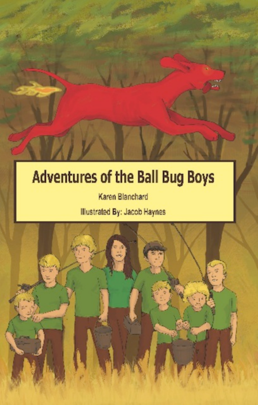## **Adventures of the Ball Bug Boys**

 $100$ 

Karen Blanchard

Illustrated By: Jacob Haynes

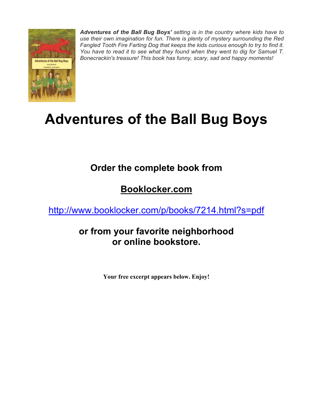

*Adventures of the Ball Bug Boys' setting is in the country where kids have to use their own imagination for fun. There is plenty of mystery surrounding the Red Fangled Tooth Fire Farting Dog that keeps the kids curious enough to try to find it. You have to read it to see what they found when they went to dig for Samuel T. Bonecrackin's treasure! This book has funny, scary, sad and happy moments!*

## **Adventures of the Ball Bug Boys**

## **Order the complete book from**

## **Booklocker.com**

http://www.booklocker.com/p/books/7214.html?s=pdf

### **or from your favorite neighborhood or online bookstore.**

**Your free excerpt appears below. Enjoy!**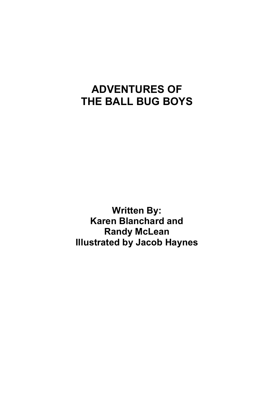#### **ADVENTURES OF THE BALL BUG BOYS**

**Written By: Karen Blanchard and Randy McLean Illustrated by Jacob Haynes**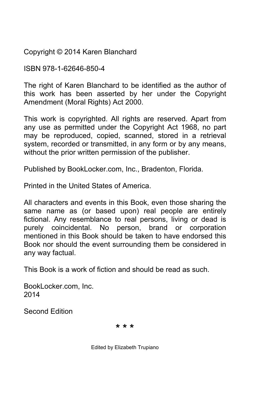Copyright © 2014 Karen Blanchard

ISBN 978-1-62646-850-4

The right of Karen Blanchard to be identified as the author of this work has been asserted by her under the Copyright Amendment (Moral Rights) Act 2000.

This work is copyrighted. All rights are reserved. Apart from any use as permitted under the Copyright Act 1968, no part may be reproduced, copied, scanned, stored in a retrieval system, recorded or transmitted, in any form or by any means, without the prior written permission of the publisher.

Published by BookLocker.com, Inc., Bradenton, Florida.

Printed in the United States of America.

All characters and events in this Book, even those sharing the same name as (or based upon) real people are entirely fictional. Any resemblance to real persons, living or dead is purely coincidental. No person, brand or corporation mentioned in this Book should be taken to have endorsed this Book nor should the event surrounding them be considered in any way factual.

This Book is a work of fiction and should be read as such.

BookLocker.com, Inc. 2014

Second Edition

**\* \* \*** 

Edited by Elizabeth Trupiano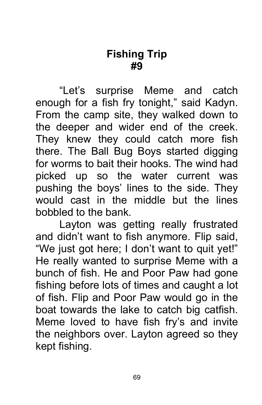#### **Fishing Trip #9**

"Let's surprise Meme and catch enough for a fish fry tonight," said Kadyn. From the camp site, they walked down to the deeper and wider end of the creek. They knew they could catch more fish there. The Ball Bug Boys started digging for worms to bait their hooks. The wind had picked up so the water current was pushing the boys' lines to the side. They would cast in the middle but the lines bobbled to the bank.

Layton was getting really frustrated and didn't want to fish anymore. Flip said, "We just got here; I don't want to quit yet!" He really wanted to surprise Meme with a bunch of fish. He and Poor Paw had gone fishing before lots of times and caught a lot of fish. Flip and Poor Paw would go in the boat towards the lake to catch big catfish. Meme loved to have fish fry's and invite the neighbors over. Layton agreed so they kept fishing.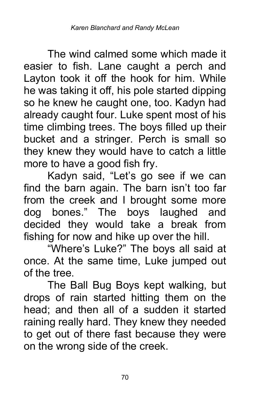The wind calmed some which made it easier to fish. Lane caught a perch and Layton took it off the hook for him. While he was taking it off, his pole started dipping so he knew he caught one, too. Kadyn had already caught four. Luke spent most of his time climbing trees. The boys filled up their bucket and a stringer. Perch is small so they knew they would have to catch a little more to have a good fish fry.

Kadyn said, "Let's go see if we can find the barn again. The barn isn't too far from the creek and I brought some more dog bones." The boys laughed and decided they would take a break from fishing for now and hike up over the hill.

"Where's Luke?" The boys all said at once. At the same time, Luke jumped out of the tree.

The Ball Bug Boys kept walking, but drops of rain started hitting them on the head; and then all of a sudden it started raining really hard. They knew they needed to get out of there fast because they were on the wrong side of the creek.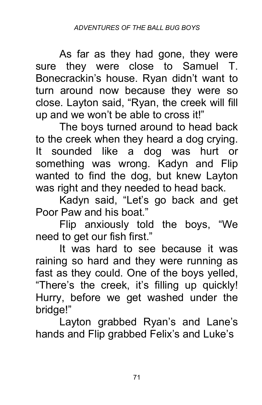As far as they had gone, they were sure they were close to Samuel T. Bonecrackin's house. Ryan didn't want to turn around now because they were so close. Layton said, "Ryan, the creek will fill up and we won't be able to cross it!"

The boys turned around to head back to the creek when they heard a dog crying. It sounded like a dog was hurt or something was wrong. Kadyn and Flip wanted to find the dog, but knew Layton was right and they needed to head back.

Kadyn said, "Let's go back and get Poor Paw and his boat."

Flip anxiously told the boys, "We need to get our fish first."

It was hard to see because it was raining so hard and they were running as fast as they could. One of the boys yelled, "There's the creek, it's filling up quickly! Hurry, before we get washed under the bridge!"

Layton grabbed Ryan's and Lane's hands and Flip grabbed Felix's and Luke's

71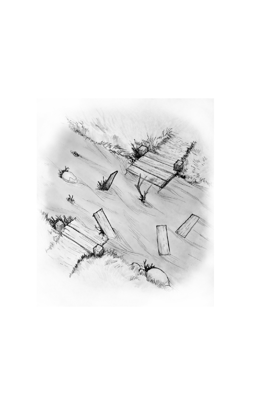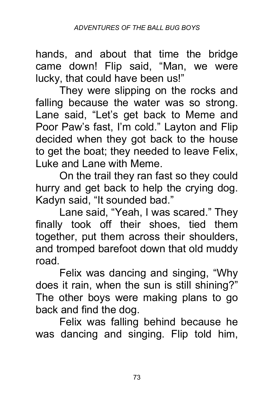hands, and about that time the bridge came down! Flip said, "Man, we were lucky, that could have been us!"

They were slipping on the rocks and falling because the water was so strong. Lane said, "Let's get back to Meme and Poor Paw's fast, I'm cold." Layton and Flip decided when they got back to the house to get the boat; they needed to leave Felix, Luke and Lane with Meme.

On the trail they ran fast so they could hurry and get back to help the crying dog. Kadyn said, "It sounded bad."

Lane said, "Yeah, I was scared." They finally took off their shoes, tied them together, put them across their shoulders, and tromped barefoot down that old muddy road.

Felix was dancing and singing, "Why does it rain, when the sun is still shining?" The other boys were making plans to go back and find the dog.

Felix was falling behind because he was dancing and singing. Flip told him,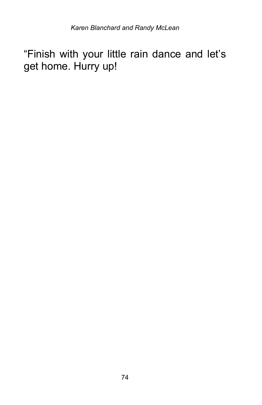*Karen Blanchard and Randy McLean* 

"Finish with your little rain dance and let's get home. Hurry up!